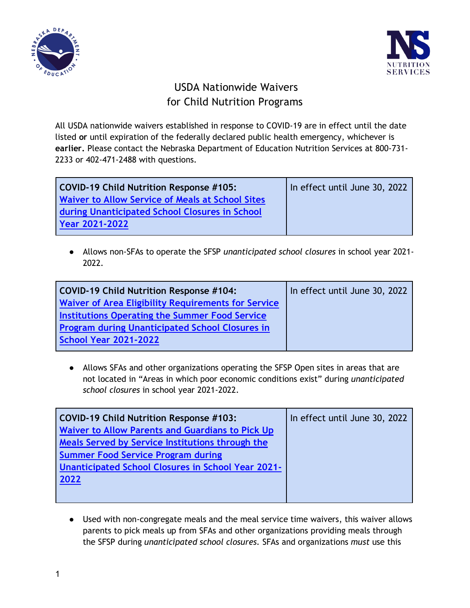



## USDA Nationwide Waivers for Child Nutrition Programs

All USDA nationwide waivers established in response to COVID-19 are in effect until the date listed **or** until expiration of the federally declared public health emergency, whichever is **earlier.** Please contact the Nebraska Department of Education Nutrition Services at 800-731- 2233 or 402-471-2488 with questions.

| <b>COVID-19 Child Nutrition Response #105:</b>          | In effect until June 30, 2022 |
|---------------------------------------------------------|-------------------------------|
| <b>Waiver to Allow Service of Meals at School Sites</b> |                               |
| during Unanticipated School Closures in School          |                               |
| Year 2021-2022                                          |                               |
|                                                         |                               |

● Allows non-SFAs to operate the SFSP *unanticipated school closures* in school year 2021- 2022.

| <b>COVID-19 Child Nutrition Response #104:</b>         | In effect until June 30, 2022 |
|--------------------------------------------------------|-------------------------------|
| Waiver of Area Eligibility Requirements for Service    |                               |
| <b>Institutions Operating the Summer Food Service</b>  |                               |
| <b>Program during Unanticipated School Closures in</b> |                               |
| <b>School Year 2021-2022</b>                           |                               |

● Allows SFAs and other organizations operating the SFSP Open sites in areas that are not located in "Areas in which poor economic conditions exist" during *unanticipated school closures* in school year 2021-2022.

| <b>COVID-19 Child Nutrition Response #103:</b>            | In effect until June 30, 2022 |
|-----------------------------------------------------------|-------------------------------|
| Waiver to Allow Parents and Guardians to Pick Up          |                               |
| Meals Served by Service Institutions through the          |                               |
| <b>Summer Food Service Program during</b>                 |                               |
| <b>Unanticipated School Closures in School Year 2021-</b> |                               |
| 2022                                                      |                               |
|                                                           |                               |
|                                                           |                               |

● Used with non-congregate meals and the meal service time waivers, this waiver allows parents to pick meals up from SFAs and other organizations providing meals through the SFSP during *unanticipated school closures.* SFAs and organizations *must* use this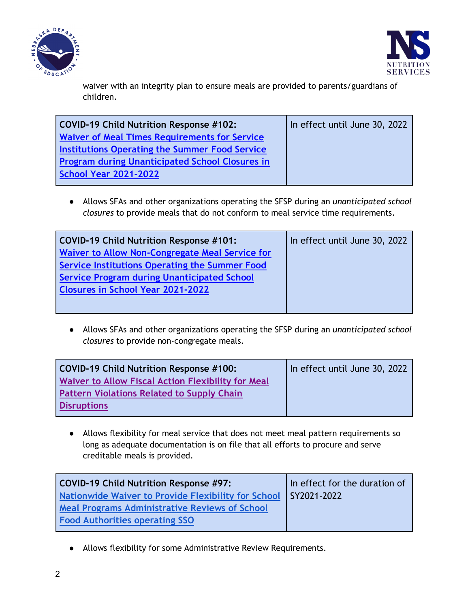



waiver with an integrity plan to ensure meals are provided to parents/guardians of children.

| COVID-19 Child Nutrition Response #102:                | In effect until June 30, 2022 |
|--------------------------------------------------------|-------------------------------|
| <b>Waiver of Meal Times Requirements for Service</b>   |                               |
| <b>Institutions Operating the Summer Food Service</b>  |                               |
| <b>Program during Unanticipated School Closures in</b> |                               |
| <b>School Year 2021-2022</b>                           |                               |
|                                                        |                               |

● Allows SFAs and other organizations operating the SFSP during an *unanticipated school closures* to provide meals that do not conform to meal service time requirements.

| COVID-19 Child Nutrition Response #101:                | In effect until June 30, 2022 |
|--------------------------------------------------------|-------------------------------|
| <b>Waiver to Allow Non-Congregate Meal Service for</b> |                               |
| Service Institutions Operating the Summer Food         |                               |
| <b>Service Program during Unanticipated School</b>     |                               |
| <b>Closures in School Year 2021-2022</b>               |                               |
|                                                        |                               |
|                                                        |                               |

● Allows SFAs and other organizations operating the SFSP during an *unanticipated school closures* to provide non-congregate meals.

| COVID-19 Child Nutrition Response #100:                   | In effect until June 30, 2022 |
|-----------------------------------------------------------|-------------------------------|
| <b>Waiver to Allow Fiscal Action Flexibility for Meal</b> |                               |
| <b>Pattern Violations Related to Supply Chain</b>         |                               |
| <b>Disruptions</b>                                        |                               |

● Allows flexibility for meal service that does not meet meal pattern requirements so long as adequate documentation is on file that all efforts to procure and serve creditable meals is provided.

| COVID-19 Child Nutrition Response #97:                            | In effect for the duration of |
|-------------------------------------------------------------------|-------------------------------|
| Nationwide Waiver to Provide Flexibility for School   SY2021-2022 |                               |
| Meal Programs Administrative Reviews of School                    |                               |
| <b>Food Authorities operating SSO</b>                             |                               |

● Allows flexibility for some Administrative Review Requirements.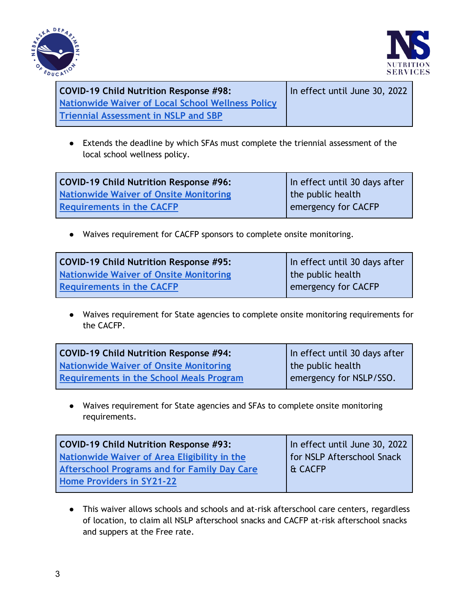



| <b>COVID-19 Child Nutrition Response #98:</b>            | In effect until June 30, 2022 |
|----------------------------------------------------------|-------------------------------|
| <b>Nationwide Waiver of Local School Wellness Policy</b> |                               |
| <b>Triennial Assessment in NSLP and SBP</b>              |                               |

● Extends the deadline by which SFAs must complete the triennial assessment of the local school wellness policy.

| COVID-19 Child Nutrition Response #96: | In effect until 30 days after |
|----------------------------------------|-------------------------------|
| Nationwide Waiver of Onsite Monitoring | the public health             |
| <b>Requirements in the CACFP</b>       | emergency for CACFP           |

● Waives requirement for CACFP sponsors to complete onsite monitoring.

| COVID-19 Child Nutrition Response #95:        | In effect until 30 days after |
|-----------------------------------------------|-------------------------------|
| <b>Nationwide Waiver of Onsite Monitoring</b> | I the public health           |
| <b>Requirements in the CACFP</b>              | emergency for CACFP           |

● Waives requirement for State agencies to complete onsite monitoring requirements for the CACFP.

| COVID-19 Child Nutrition Response #94:          | In effect until 30 days after |
|-------------------------------------------------|-------------------------------|
| Nationwide Waiver of Onsite Monitoring          | the public health             |
| <b>Requirements in the School Meals Program</b> | l emergency for NSLP/SSO.     |

● Waives requirement for State agencies and SFAs to complete onsite monitoring requirements.

| COVID-19 Child Nutrition Response #93:              | In effect until June 30, 2022 |
|-----------------------------------------------------|-------------------------------|
| Nationwide Waiver of Area Eligibility in the        | for NSLP Afterschool Snack    |
| <b>Afterschool Programs and for Family Day Care</b> | l & CACFP                     |
| Home Providers in SY21-22                           |                               |
|                                                     |                               |

● This waiver allows schools and schools and at-risk afterschool care centers, regardless of location, to claim all NSLP afterschool snacks and CACFP at-risk afterschool snacks and suppers at the Free rate.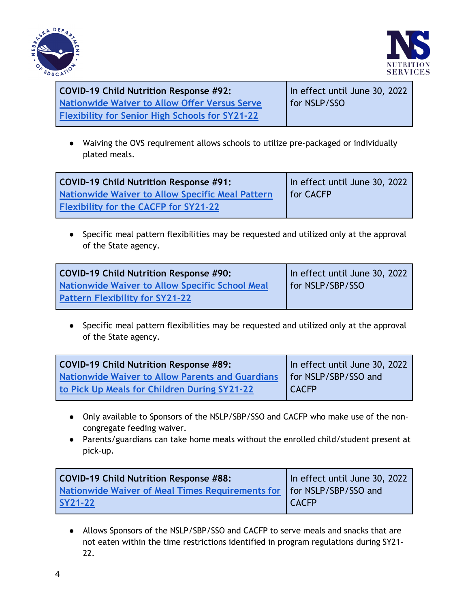



**COVID-19 Child Nutrition Response #92: [Nationwide](https://www.fns.usda.gov/cn/child-nutrition-response-92) [Waiver to Allow Offer Versus Serve](https://www.fns.usda.gov/cn/child-nutrition-response-92)  [Flexibility for Senior High Schools for SY21-22](https://www.fns.usda.gov/cn/child-nutrition-response-92)** In effect until June 30, 2022 for NSLP/SSO

● Waiving the OVS requirement allows schools to utilize pre-packaged or individually plated meals.

| <b>COVID-19 Child Nutrition Response #91:</b>           | In effect until June 30, 2022 |
|---------------------------------------------------------|-------------------------------|
| <b>Nationwide Waiver to Allow Specific Meal Pattern</b> | <b>I</b> for CACFP            |
| <b>Flexibility for the CACFP for SY21-22</b>            |                               |

● Specific meal pattern flexibilities may be requested and utilized only at the approval of the State agency.

| COVID-19 Child Nutrition Response #90:          | In effect until June 30, 2022 |
|-------------------------------------------------|-------------------------------|
| Nationwide Waiver to Allow Specific School Meal | for NSLP/SBP/SSO              |
| <b>Pattern Flexibility for SY21-22</b>          |                               |

● Specific meal pattern flexibilities may be requested and utilized only at the approval of the State agency.

| <b>COVID-19 Child Nutrition Response #89:</b>           | In effect until June 30, 2022 |
|---------------------------------------------------------|-------------------------------|
| <b>Nationwide Waiver to Allow Parents and Guardians</b> | for NSLP/SBP/SSO and          |
| to Pick Up Meals for Children During SY21-22            | <b>CACFP</b>                  |

- Only available to Sponsors of the NSLP/SBP/SSO and CACFP who make use of the noncongregate feeding waiver.
- Parents/guardians can take home meals without the enrolled child/student present at pick-up.

| COVID-19 Child Nutrition Response #88:                                  | In effect until June 30, 2022 |
|-------------------------------------------------------------------------|-------------------------------|
| Nationwide Waiver of Meal Times Requirements for   for NSLP/SBP/SSO and |                               |
| <b>SY21-22</b>                                                          | <b>CACFP</b>                  |

● Allows Sponsors of the NSLP/SBP/SSO and CACFP to serve meals and snacks that are not eaten within the time restrictions identified in program regulations during SY21- 22.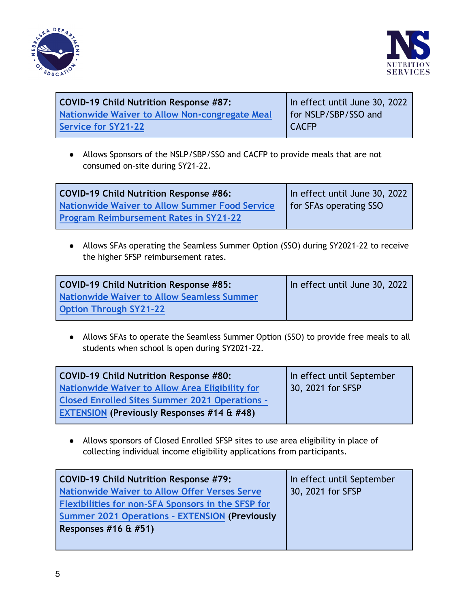



| <b>COVID-19 Child Nutrition Response #87:</b>  | In effect until June 30, 2022 |
|------------------------------------------------|-------------------------------|
| Nationwide Waiver to Allow Non-congregate Meal | for NSLP/SBP/SSO and          |
| <b>Service for SY21-22</b>                     | <b>CACFP</b>                  |

● Allows Sponsors of the NSLP/SBP/SSO and CACFP to provide meals that are not consumed on-site during SY21-22.

| <b>COVID-19 Child Nutrition Response #86:</b>  | In effect until June 30, 2022 |
|------------------------------------------------|-------------------------------|
| Nationwide Waiver to Allow Summer Food Service | for SFAs operating SSO        |
| <b>Program Reimbursement Rates in SY21-22</b>  |                               |

● Allows SFAs operating the Seamless Summer Option (SSO) during SY2021-22 to receive the higher SFSP reimbursement rates.

| <b>COVID-19 Child Nutrition Response #85:</b>     | In effect until June 30, 2022 |
|---------------------------------------------------|-------------------------------|
| <b>Nationwide Waiver to Allow Seamless Summer</b> |                               |
| <b>Option Through SY21-22</b>                     |                               |

● Allows SFAs to operate the Seamless Summer Option (SSO) to provide free meals to all students when school is open during SY2021-22.

| <b>COVID-19 Child Nutrition Response #80:</b>         | In effect until September |
|-------------------------------------------------------|---------------------------|
| Nationwide Waiver to Allow Area Eligibility for       | 30, 2021 for SFSP         |
| <b>Closed Enrolled Sites Summer 2021 Operations -</b> |                           |
| <b>EXTENSION (Previously Responses #14 &amp; #48)</b> |                           |

● Allows sponsors of Closed Enrolled SFSP sites to use area eligibility in place of collecting individual income eligibility applications from participants.

| <b>COVID-19 Child Nutrition Response #79:</b>         | In effect until September |
|-------------------------------------------------------|---------------------------|
| <b>Nationwide Waiver to Allow Offer Verses Serve</b>  | 30, 2021 for SFSP         |
| Flexibilities for non-SFA Sponsors in the SFSP for    |                           |
| <b>Summer 2021 Operations - EXTENSION (Previously</b> |                           |
| Responses $#16 \& #51)$                               |                           |
|                                                       |                           |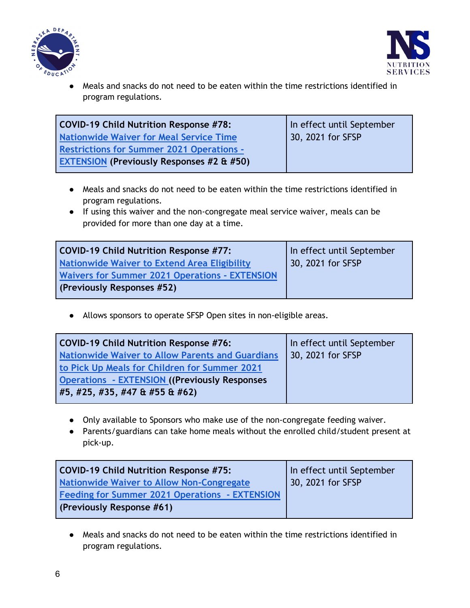



Meals and snacks do not need to be eaten within the time restrictions identified in program regulations.

| COVID-19 Child Nutrition Response #78:               | In effect until September |
|------------------------------------------------------|---------------------------|
| <b>Nationwide Waiver for Meal Service Time</b>       | 30, 2021 for SFSP         |
| <b>Restrictions for Summer 2021 Operations -</b>     |                           |
| <b>EXTENSION (Previously Responses #2 &amp; #50)</b> |                           |

- Meals and snacks do not need to be eaten within the time restrictions identified in program regulations.
- If using this waiver and the non-congregate meal service waiver, meals can be provided for more than one day at a time.

| COVID-19 Child Nutrition Response #77:                | In effect until September |
|-------------------------------------------------------|---------------------------|
| Nationwide Waiver to Extend Area Eligibility          | 30, 2021 for SFSP         |
| <b>Waivers for Summer 2021 Operations - EXTENSION</b> |                           |
| (Previously Responses #52)                            |                           |

● Allows sponsors to operate SFSP Open sites in non-eligible areas.

| <b>COVID-19 Child Nutrition Response #76:</b>           | In effect until September |
|---------------------------------------------------------|---------------------------|
| <b>Nationwide Waiver to Allow Parents and Guardians</b> | 30, 2021 for SFSP         |
| to Pick Up Meals for Children for Summer 2021           |                           |
| <b>Operations - EXTENSION ((Previously Responses)</b>   |                           |
| #5, #25, #35, #47 & #55 & #62)                          |                           |

- Only available to Sponsors who make use of the non-congregate feeding waiver.
- Parents/guardians can take home meals without the enrolled child/student present at pick-up.

| COVID-19 Child Nutrition Response #75:                | In effect until September |
|-------------------------------------------------------|---------------------------|
| Nationwide Waiver to Allow Non-Congregate             | 30, 2021 for SFSP         |
| <b>Feeding for Summer 2021 Operations - EXTENSION</b> |                           |
| (Previously Response #61)                             |                           |

● Meals and snacks do not need to be eaten within the time restrictions identified in program regulations.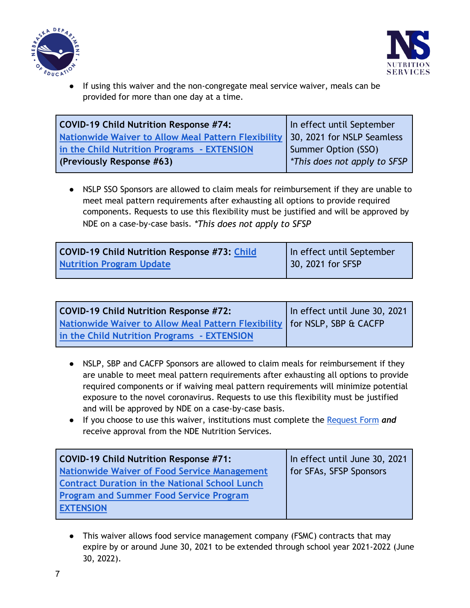



If using this waiver and the non-congregate meal service waiver, meals can be provided for more than one day at a time.

| <b>COVID-19 Child Nutrition Response #74:</b>              | In effect until September   |
|------------------------------------------------------------|-----------------------------|
| <b>Nationwide Waiver to Allow Meal Pattern Flexibility</b> | 30, 2021 for NSLP Seamless  |
| in the Child Nutrition Programs - EXTENSION                | Summer Option (SSO)         |
| (Previously Response #63)                                  | This does not apply to SFSP |

● NSLP SSO Sponsors are allowed to claim meals for reimbursement if they are unable to meet meal pattern requirements after exhausting all options to provide required components. Requests to use this flexibility must be justified and will be approved by NDE on a case-by-case basis. *\*This does not apply to SFSP*

| <b>COVID-19 Child Nutrition Response #73: Child</b> | In effect until September |
|-----------------------------------------------------|---------------------------|
| <b>Nutrition Program Update</b>                     | 30, 2021 for SFSP         |

| <b>COVID-19 Child Nutrition Response #72:</b>                               | In effect until June 30, 2021 |
|-----------------------------------------------------------------------------|-------------------------------|
| Nationwide Waiver to Allow Meal Pattern Flexibility   for NSLP, SBP & CACFP |                               |
| in the Child Nutrition Programs - EXTENSION                                 |                               |

- NSLP, SBP and CACFP Sponsors are allowed to claim meals for reimbursement if they are unable to meet meal pattern requirements after exhausting all options to provide required components or if waiving meal pattern requirements will minimize potential exposure to the novel coronavirus. Requests to use this flexibility must be justified and will be approved by NDE on a case-by-case basis.
- If you choose to use this waiver, institutions must complete the [Request Form](https://docs.google.com/forms/d/e/1FAIpQLSdgZ1TKzRH2G2_mJU5cyndg6RYm1F3TPCoMNv9sQ3hHzvDkfA/viewform) *and* receive approval from the NDE Nutrition Services.

| COVID-19 Child Nutrition Response #71:                | In effect until June 30, 2021 |
|-------------------------------------------------------|-------------------------------|
| <b>Nationwide Waiver of Food Service Management</b>   | for SFAs, SFSP Sponsors       |
| <b>Contract Duration in the National School Lunch</b> |                               |
| <b>Program and Summer Food Service Program</b>        |                               |
| <b>EXTENSION</b>                                      |                               |

● This waiver allows food service management company (FSMC) contracts that may expire by or around June 30, 2021 to be extended through school year 2021-2022 (June 30, 2022).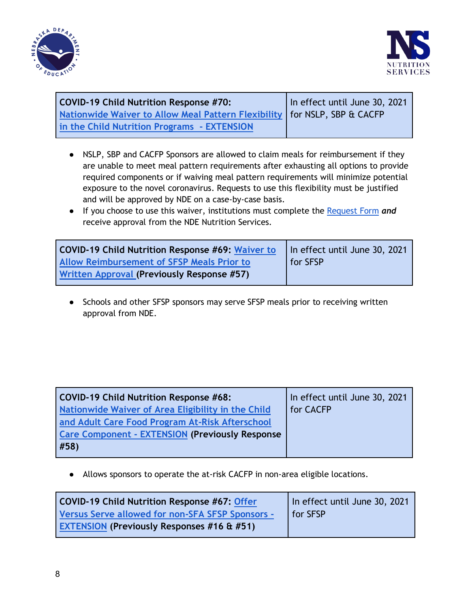



| <b>COVID-19 Child Nutrition Response #70:</b>                               | In effect until June 30, 2021 |
|-----------------------------------------------------------------------------|-------------------------------|
| Nationwide Waiver to Allow Meal Pattern Flexibility   for NSLP, SBP & CACFP |                               |
| in the Child Nutrition Programs - EXTENSION                                 |                               |

- NSLP, SBP and CACFP Sponsors are allowed to claim meals for reimbursement if they are unable to meet meal pattern requirements after exhausting all options to provide required components or if waiving meal pattern requirements will minimize potential exposure to the novel coronavirus. Requests to use this flexibility must be justified and will be approved by NDE on a case-by-case basis.
- If you choose to use this waiver, institutions must complete the [Request Form](https://docs.google.com/forms/d/e/1FAIpQLSdgZ1TKzRH2G2_mJU5cyndg6RYm1F3TPCoMNv9sQ3hHzvDkfA/viewform) *and* receive approval from the NDE Nutrition Services.

| <b>COVID-19 Child Nutrition Response #69: Waiver to</b> | In effect until June 30, 2021 |
|---------------------------------------------------------|-------------------------------|
| <b>Allow Reimbursement of SFSP Meals Prior to</b>       | for SFSP                      |
| Written Approval (Previously Response #57)              |                               |

● Schools and other SFSP sponsors may serve SFSP meals prior to receiving written approval from NDE.

| <b>COVID-19 Child Nutrition Response #68:</b>           | In effect until June 30, 2021 |
|---------------------------------------------------------|-------------------------------|
| Nationwide Waiver of Area Eligibility in the Child      | for CACFP                     |
| and Adult Care Food Program At-Risk Afterschool         |                               |
| <b>Care Component - EXTENSION (Previously Response)</b> |                               |
| #58)                                                    |                               |

● Allows sponsors to operate the at-risk CACFP in non-area eligible locations.

| COVID-19 Child Nutrition Response #67: Offer          | In effect until June 30, 2021 |
|-------------------------------------------------------|-------------------------------|
| Versus Serve allowed for non-SFA SFSP Sponsors -      | <b>I</b> for SFSP             |
| <b>EXTENSION (Previously Responses #16 &amp; #51)</b> |                               |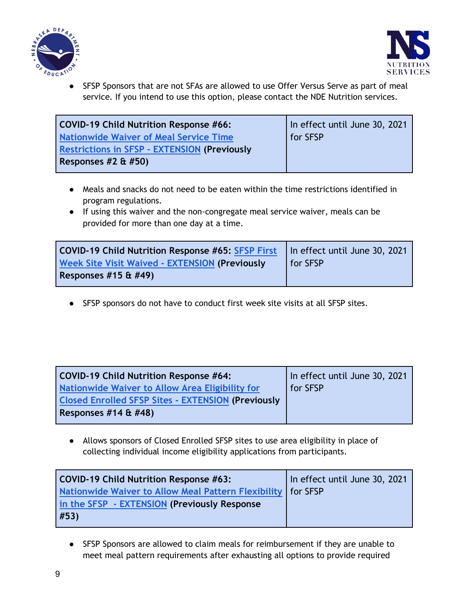



SFSP Sponsors that are not SFAs are allowed to use Offer Versus Serve as part of meal service. If you intend to use this option, please contact the NDE Nutrition services.

| COVID-19 Child Nutrition Response #66:              | In effect until June 30, 2021 |
|-----------------------------------------------------|-------------------------------|
| <b>Nationwide Waiver of Meal Service Time</b>       | for SFSP                      |
| <b>Restrictions in SFSP - EXTENSION (Previously</b> |                               |
| Responses $#2 \& #50)$                              |                               |

- Meals and snacks do not need to be eaten within the time restrictions identified in program regulations.
- If using this waiver and the non-congregate meal service waiver, meals can be provided for more than one day at a time.

| COVID-19 Child Nutrition Response #65: SFSP First     | In effect until June 30, 2021 |
|-------------------------------------------------------|-------------------------------|
| <b>Week Site Visit Waived - EXTENSION (Previously</b> | <b>I</b> for SFSP             |
| Responses $#15 \& #49$                                |                               |

● SFSP sponsors do not have to conduct first week site visits at all SFSP sites.

| COVID-19 Child Nutrition Response #64:                    | In effect until June 30, 2021 |
|-----------------------------------------------------------|-------------------------------|
| Nationwide Waiver to Allow Area Eligibility for           | <b>for SFSP</b>               |
| <b>Closed Enrolled SFSP Sites - EXTENSION (Previously</b> |                               |
| Responses $#14 \& #48$                                    |                               |

● Allows sponsors of Closed Enrolled SFSP sites to use area eligibility in place of collecting individual income eligibility applications from participants.

| COVID-19 Child Nutrition Response #63:                         | In effect until June 30, 2021 |
|----------------------------------------------------------------|-------------------------------|
| Nationwide Waiver to Allow Meal Pattern Flexibility   for SFSP |                               |
| in the SFSP - EXTENSION (Previously Response                   |                               |
| #53)                                                           |                               |

● SFSP Sponsors are allowed to claim meals for reimbursement if they are unable to meet meal pattern requirements after exhausting all options to provide required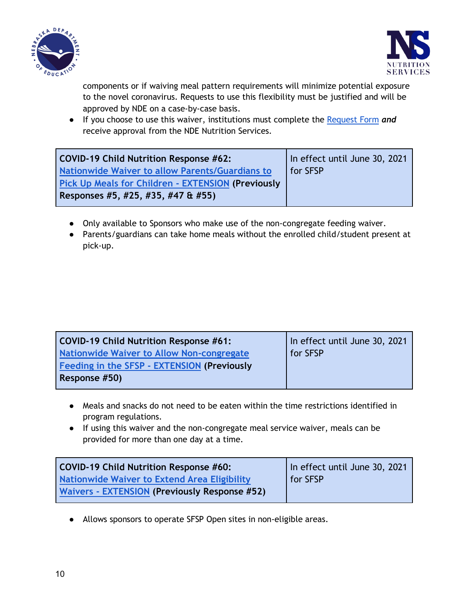



components or if waiving meal pattern requirements will minimize potential exposure to the novel coronavirus. Requests to use this flexibility must be justified and will be approved by NDE on a case-by-case basis.

● If you choose to use this waiver, institutions must complete the [Request Form](https://docs.google.com/forms/d/e/1FAIpQLSdgZ1TKzRH2G2_mJU5cyndg6RYm1F3TPCoMNv9sQ3hHzvDkfA/viewform) *and* receive approval from the NDE Nutrition Services.

| <b>COVID-19 Child Nutrition Response #62:</b>             | In effect until June 30, 2021 |
|-----------------------------------------------------------|-------------------------------|
| <b>Nationwide Waiver to allow Parents/Guardians to</b>    | for SFSP                      |
| <b>Pick Up Meals for Children - EXTENSION (Previously</b> |                               |
| Responses #5, #25, #35, #47 & #55)                        |                               |

- Only available to Sponsors who make use of the non-congregate feeding waiver.
- Parents/guardians can take home meals without the enrolled child/student present at pick-up.

| <b>COVID-19 Child Nutrition Response #61:</b> | In effect until June 30, 2021 |
|-----------------------------------------------|-------------------------------|
| Nationwide Waiver to Allow Non-congregate     | for SFSP                      |
| Feeding in the SFSP - EXTENSION (Previously   |                               |
| Response #50)                                 |                               |

- Meals and snacks do not need to be eaten within the time restrictions identified in program regulations.
- If using this waiver and the non-congregate meal service waiver, meals can be provided for more than one day at a time.

| COVID-19 Child Nutrition Response #60:        | In effect until June 30, 2021 |
|-----------------------------------------------|-------------------------------|
| Nationwide Waiver to Extend Area Eligibility  | for SFSP                      |
| Waivers - EXTENSION (Previously Response #52) |                               |

● Allows sponsors to operate SFSP Open sites in non-eligible areas.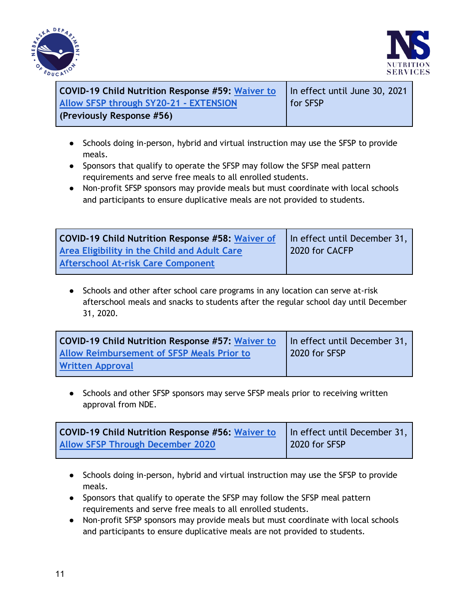



| COVID-19 Child Nutrition Response #59: Waiver to | In effect until June 30, 2021 |
|--------------------------------------------------|-------------------------------|
| <b>Allow SFSP through SY20-21 - EXTENSION</b>    | <b>for SFSP</b>               |
| (Previously Response #56)                        |                               |

- Schools doing in-person, hybrid and virtual instruction may use the SFSP to provide meals.
- Sponsors that qualify to operate the SFSP may follow the SFSP meal pattern requirements and serve free meals to all enrolled students.
- Non-profit SFSP sponsors may provide meals but must coordinate with local schools and participants to ensure duplicative meals are not provided to students.

| <b>COVID-19 Child Nutrition Response #58: Waiver of</b> | In effect until December 31, |
|---------------------------------------------------------|------------------------------|
| Area Eligibility in the Child and Adult Care            | 2020 for CACFP               |
| <b>Afterschool At-risk Care Component</b>               |                              |

● Schools and other after school care programs in any location can serve at-risk afterschool meals and snacks to students after the regular school day until December 31, 2020.

| <b>COVID-19 Child Nutrition Response #57: Waiver to</b> | In effect until December 31, |
|---------------------------------------------------------|------------------------------|
| <b>Allow Reimbursement of SFSP Meals Prior to</b>       | 2020 for SFSP                |
| <b>Written Approval</b>                                 |                              |

● Schools and other SFSP sponsors may serve SFSP meals prior to receiving written approval from NDE.

| <b>COVID-19 Child Nutrition Response #56: Waiver to</b> $\vert$ In effect until December 31, |               |
|----------------------------------------------------------------------------------------------|---------------|
| <b>Allow SFSP Through December 2020</b>                                                      | 2020 for SFSP |

- Schools doing in-person, hybrid and virtual instruction may use the SFSP to provide meals.
- Sponsors that qualify to operate the SFSP may follow the SFSP meal pattern requirements and serve free meals to all enrolled students.
- Non-profit SFSP sponsors may provide meals but must coordinate with local schools and participants to ensure duplicative meals are not provided to students.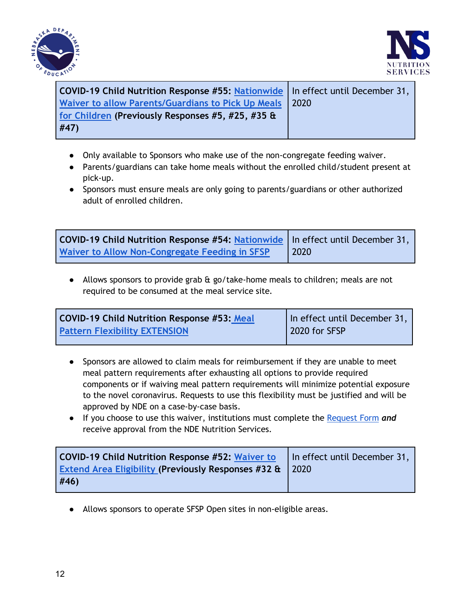



| COVID-19 Child Nutrition Response #55: Nationwide   In effect until December 31, |
|----------------------------------------------------------------------------------|
| 2020                                                                             |
|                                                                                  |
|                                                                                  |
|                                                                                  |

- Only available to Sponsors who make use of the non-congregate feeding waiver.
- Parents/guardians can take home meals without the enrolled child/student present at pick-up.
- Sponsors must ensure meals are only going to parents/guardians or other authorized adult of enrolled children.

| COVID-19 Child Nutrition Response #54: Nationwide   In effect until December 31, |      |
|----------------------------------------------------------------------------------|------|
| Waiver to Allow Non-Congregate Feeding in SFSP                                   | 2020 |

● Allows sponsors to provide grab & go/take-home meals to children; meals are not required to be consumed at the meal service site.

| <b>COVID-19 Child Nutrition Response #53: Meal</b> | In effect until December 31, |
|----------------------------------------------------|------------------------------|
| <b>Pattern Flexibility EXTENSION</b>               | 2020 for SFSP                |
|                                                    |                              |

- Sponsors are allowed to claim meals for reimbursement if they are unable to meet meal pattern requirements after exhausting all options to provide required components or if waiving meal pattern requirements will minimize potential exposure to the novel coronavirus. Requests to use this flexibility must be justified and will be approved by NDE on a case-by-case basis.
- If you choose to use this waiver, institutions must complete the [Request Form](https://docs.google.com/forms/d/e/1FAIpQLSdgZ1TKzRH2G2_mJU5cyndg6RYm1F3TPCoMNv9sQ3hHzvDkfA/viewform) *and* receive approval from the NDE Nutrition Services.

| <b>COVID-19 Child Nutrition Response #52: Waiver to</b>        | In effect until December 31, |
|----------------------------------------------------------------|------------------------------|
| <b>Extend Area Eligibility (Previously Responses #32 &amp;</b> | $\sqrt{2020}$                |
| #46)                                                           |                              |

● Allows sponsors to operate SFSP Open sites in non-eligible areas.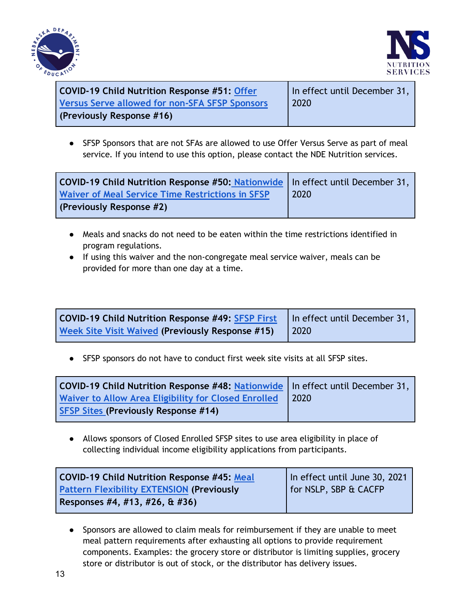



| <b>COVID-19 Child Nutrition Response #51: Offer</b>   | In effect until December 31, |
|-------------------------------------------------------|------------------------------|
| <b>Versus Serve allowed for non-SFA SFSP Sponsors</b> | 2020                         |
| (Previously Response #16)                             |                              |

● SFSP Sponsors that are not SFAs are allowed to use Offer Versus Serve as part of meal service. If you intend to use this option, please contact the NDE Nutrition services.

| COVID-19 Child Nutrition Response #50: Nationwide   In effect until December 31, |      |
|----------------------------------------------------------------------------------|------|
| <b>Waiver of Meal Service Time Restrictions in SFSP</b>                          | 2020 |
| (Previously Response #2)                                                         |      |

- Meals and snacks do not need to be eaten within the time restrictions identified in program regulations.
- If using this waiver and the non-congregate meal service waiver, meals can be provided for more than one day at a time.

| <b>COVID-19 Child Nutrition Response #49: <math>SFSP</math> First</b>   In effect until December 31, |  |
|------------------------------------------------------------------------------------------------------|--|
| Week Site Visit Waived (Previously Response #15)   2020                                              |  |

● SFSP sponsors do not have to conduct first week site visits at all SFSP sites.

| COVID-19 Child Nutrition Response #48: Nationwide   In effect until December 31, |                                                            |
|----------------------------------------------------------------------------------|------------------------------------------------------------|
| <b>Waiver to Allow Area Eligibility for Closed Enrolled</b>                      | $\begin{array}{c} \text{12020} \\ \text{2020} \end{array}$ |
| <b>SFSP Sites (Previously Response #14)</b>                                      |                                                            |

● Allows sponsors of Closed Enrolled SFSP sites to use area eligibility in place of collecting individual income eligibility applications from participants.

| <b>COVID-19 Child Nutrition Response #45: Meal</b> | In effect until June 30, 2021 |
|----------------------------------------------------|-------------------------------|
| <b>Pattern Flexibility EXTENSION (Previously</b>   | for NSLP, SBP & CACFP         |
| Responses #4, #13, #26, & #36)                     |                               |

● Sponsors are allowed to claim meals for reimbursement if they are unable to meet meal pattern requirements after exhausting all options to provide requirement components. Examples: the grocery store or distributor is limiting supplies, grocery store or distributor is out of stock, or the distributor has delivery issues.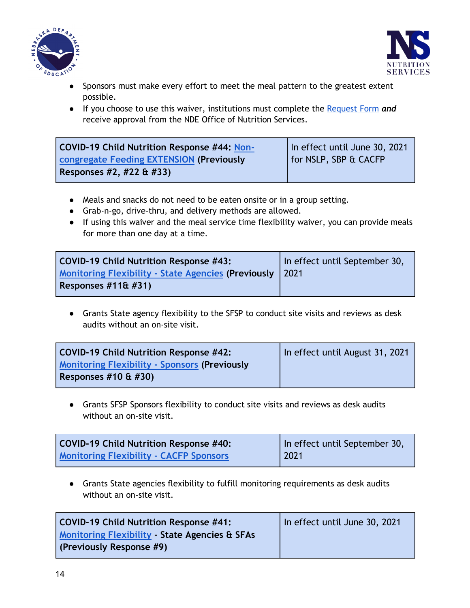



- Sponsors must make every effort to meet the meal pattern to the greatest extent possible.
- If you choose to use this waiver, institutions must complete the [Request Form](https://docs.google.com/forms/d/e/1FAIpQLSdgZ1TKzRH2G2_mJU5cyndg6RYm1F3TPCoMNv9sQ3hHzvDkfA/viewform) *and* receive approval from the NDE Office of Nutrition Services.

| COVID-19 Child Nutrition Response #44: Non- | In effect until June 30, 2021 |
|---------------------------------------------|-------------------------------|
| congregate Feeding EXTENSION (Previously    | for NSLP, SBP & CACFP         |
| Responses $#2, #22 \& #33)$                 |                               |

- Meals and snacks do not need to be eaten onsite or in a group setting.
- Grab-n-go, drive-thru, and delivery methods are allowed.
- If using this waiver and the meal service time flexibility waiver, you can provide meals for more than one day at a time.

| COVID-19 Child Nutrition Response #43:                     | In effect until September 30, |
|------------------------------------------------------------|-------------------------------|
| <b>Monitoring Flexibility - State Agencies (Previously</b> | $\sqrt{2021}$                 |
| Responses $#116#31$                                        |                               |

● Grants State agency flexibility to the SFSP to conduct site visits and reviews as desk audits without an on-site visit.

| COVID-19 Child Nutrition Response #42:               | In effect until August 31, 2021 |
|------------------------------------------------------|---------------------------------|
| <b>Monitoring Flexibility - Sponsors (Previously</b> |                                 |
| Responses $#10 \& #30$                               |                                 |

● Grants SFSP Sponsors flexibility to conduct site visits and reviews as desk audits without an on-site visit.

| COVID-19 Child Nutrition Response #40:         | In effect until September 30, |
|------------------------------------------------|-------------------------------|
| <b>Monitoring Flexibility - CACFP Sponsors</b> | $\sqrt{2021}$                 |

● Grants State agencies flexibility to fulfill monitoring requirements as desk audits without an on-site visit.

| COVID-19 Child Nutrition Response #41:                                                | In effect until June 30, 2021 |
|---------------------------------------------------------------------------------------|-------------------------------|
| <b>Monitoring Flexibility - State Agencies &amp; SFAs</b><br>(Previously Response #9) |                               |
|                                                                                       |                               |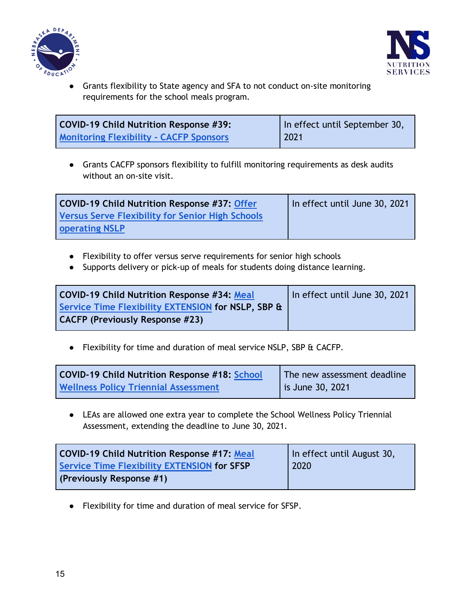



● Grants flexibility to State agency and SFA to not conduct on-site monitoring requirements for the school meals program.

| COVID-19 Child Nutrition Response #39:         | In effect until September 30,                                                |
|------------------------------------------------|------------------------------------------------------------------------------|
| <b>Monitoring Flexibility - CACFP Sponsors</b> | $\begin{array}{c} \n \begin{array}{c} \n 2021 \n \end{array} \n \end{array}$ |

● Grants CACFP sponsors flexibility to fulfill monitoring requirements as desk audits without an on-site visit.

| <b>COVID-19 Child Nutrition Response #37: Offer</b>     | In effect until June 30, 2021 |
|---------------------------------------------------------|-------------------------------|
| <b>Versus Serve Flexibility for Senior High Schools</b> |                               |
| <b>operating NSLP</b>                                   |                               |

- Flexibility to offer versus serve requirements for senior high schools
- Supports delivery or pick-up of meals for students doing distance learning.

| <b>COVID-19 Child Nutrition Response #34: Meal</b> | In effect until June 30, 2021 |
|----------------------------------------------------|-------------------------------|
| Service Time Flexibility EXTENSION for NSLP, SBP & |                               |
| <b>CACFP (Previously Response #23)</b>             |                               |

● Flexibility for time and duration of meal service NSLP, SBP & CACFP.

| COVID-19 Child Nutrition Response #18: School | The new assessment deadline |
|-----------------------------------------------|-----------------------------|
| <b>Wellness Policy Triennial Assessment</b>   | <b>is June 30, 2021</b>     |

● LEAs are allowed one extra year to complete the School Wellness Policy Triennial Assessment, extending the deadline to June 30, 2021.

| COVID-19 Child Nutrition Response #17: Meal        | In effect until August 30, |
|----------------------------------------------------|----------------------------|
| <b>Service Time Flexibility EXTENSION for SFSP</b> | 2020                       |
| (Previously Response #1)                           |                            |

● Flexibility for time and duration of meal service for SFSP.